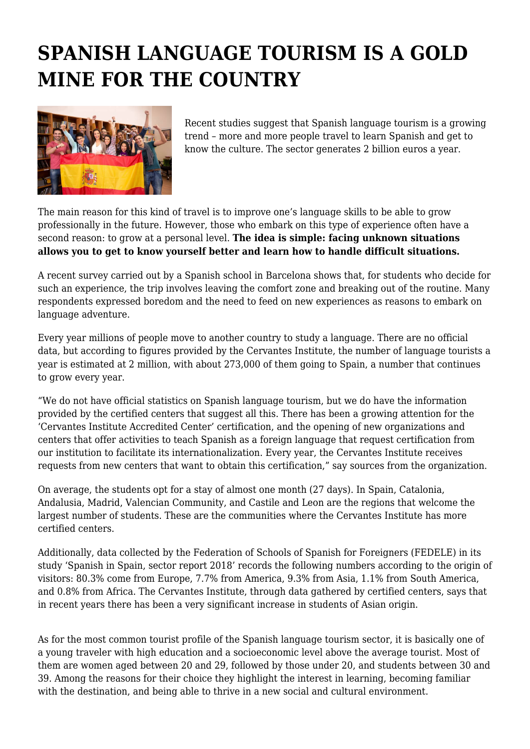## **SPANISH LANGUAGE TOURISM IS A GOLD MINE FOR THE COUNTRY**



Recent studies suggest that Spanish language tourism is a growing trend – more and more people travel to learn Spanish and get to know the culture. The sector generates 2 billion euros a year.

The main reason for this kind of travel is to improve one's language skills to be able to grow professionally in the future. However, those who embark on this type of experience often have a second reason: to grow at a personal level. **The idea is simple: facing unknown situations allows you to get to know yourself better and learn how to handle difficult situations.**

A recent survey carried out by a Spanish school in Barcelona shows that, for students who decide for such an experience, the trip involves leaving the comfort zone and breaking out of the routine. Many respondents expressed boredom and the need to feed on new experiences as reasons to embark on language adventure.

Every year millions of people move to another country to study a language. There are no official data, but according to figures provided by the Cervantes Institute, the number of language tourists a year is estimated at 2 million, with about 273,000 of them going to Spain, a number that continues to grow every year.

"We do not have official statistics on Spanish language tourism, but we do have the information provided by the certified centers that suggest all this. There has been a growing attention for the 'Cervantes Institute Accredited Center' certification, and the opening of new organizations and centers that offer activities to teach Spanish as a foreign language that request certification from our institution to facilitate its internationalization. Every year, the Cervantes Institute receives requests from new centers that want to obtain this certification," say sources from the organization.

On average, the students opt for a stay of almost one month (27 days). In Spain, Catalonia, Andalusia, Madrid, Valencian Community, and Castile and Leon are the regions that welcome the largest number of students. These are the communities where the Cervantes Institute has more certified centers.

Additionally, data collected by the Federation of Schools of Spanish for Foreigners (FEDELE) in its study 'Spanish in Spain, sector report 2018' records the following numbers according to the origin of visitors: 80.3% come from Europe, 7.7% from America, 9.3% from Asia, 1.1% from South America, and 0.8% from Africa. The Cervantes Institute, through data gathered by certified centers, says that in recent years there has been a very significant increase in students of Asian origin.

As for the most common tourist profile of the Spanish language tourism sector, it is basically one of a young traveler with high education and a socioeconomic level above the average tourist. Most of them are women aged between 20 and 29, followed by those under 20, and students between 30 and 39. Among the reasons for their choice they highlight the interest in learning, becoming familiar with the destination, and being able to thrive in a new social and cultural environment.